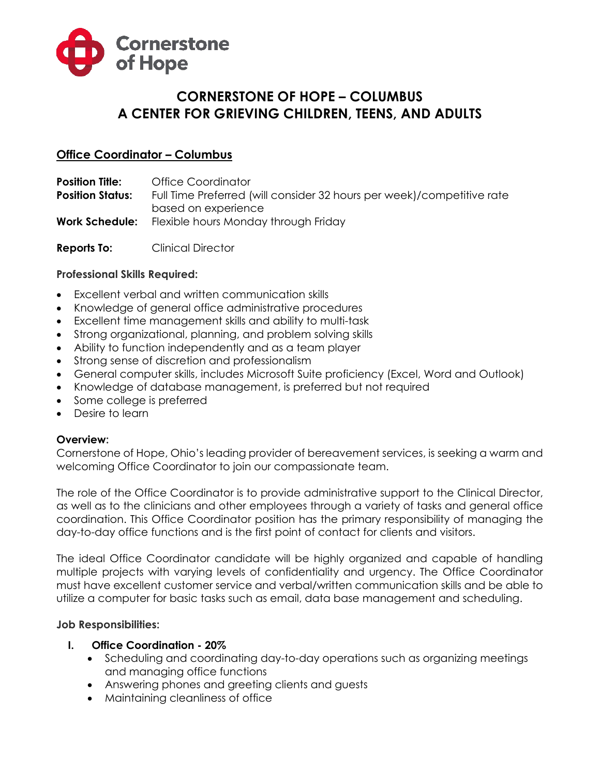

# **CORNERSTONE OF HOPE – COLUMBUS A CENTER FOR GRIEVING CHILDREN, TEENS, AND ADULTS**

# **Office Coordinator – Columbus**

**Position Title: Office Coordinator Position Status:** Full Time Preferred (will consider 32 hours per week)/competitive rate based on experience **Work Schedule:** Flexible hours Monday through Friday

**Reports To:** Clinical Director

#### **Professional Skills Required:**

- Excellent verbal and written communication skills
- Knowledge of general office administrative procedures
- Excellent time management skills and ability to multi-task
- Strong organizational, planning, and problem solving skills
- Ability to function independently and as a team player
- Strong sense of discretion and professionalism
- General computer skills, includes Microsoft Suite proficiency (Excel, Word and Outlook)
- Knowledge of database management, is preferred but not required
- Some college is preferred
- Desire to learn

#### **Overview:**

Cornerstone of Hope, Ohio's leading provider of bereavement services, is seeking a warm and welcoming Office Coordinator to join our compassionate team.

The role of the Office Coordinator is to provide administrative support to the Clinical Director, as well as to the clinicians and other employees through a variety of tasks and general office coordination. This Office Coordinator position has the primary responsibility of managing the day-to-day office functions and is the first point of contact for clients and visitors.

The ideal Office Coordinator candidate will be highly organized and capable of handling multiple projects with varying levels of confidentiality and urgency. The Office Coordinator must have excellent customer service and verbal/written communication skills and be able to utilize a computer for basic tasks such as email, data base management and scheduling.

#### **Job Responsibilities:**

#### **I. Office Coordination - 20%**

- Scheduling and coordinating day-to-day operations such as organizing meetings and managing office functions
- Answering phones and greeting clients and guests
- Maintaining cleanliness of office